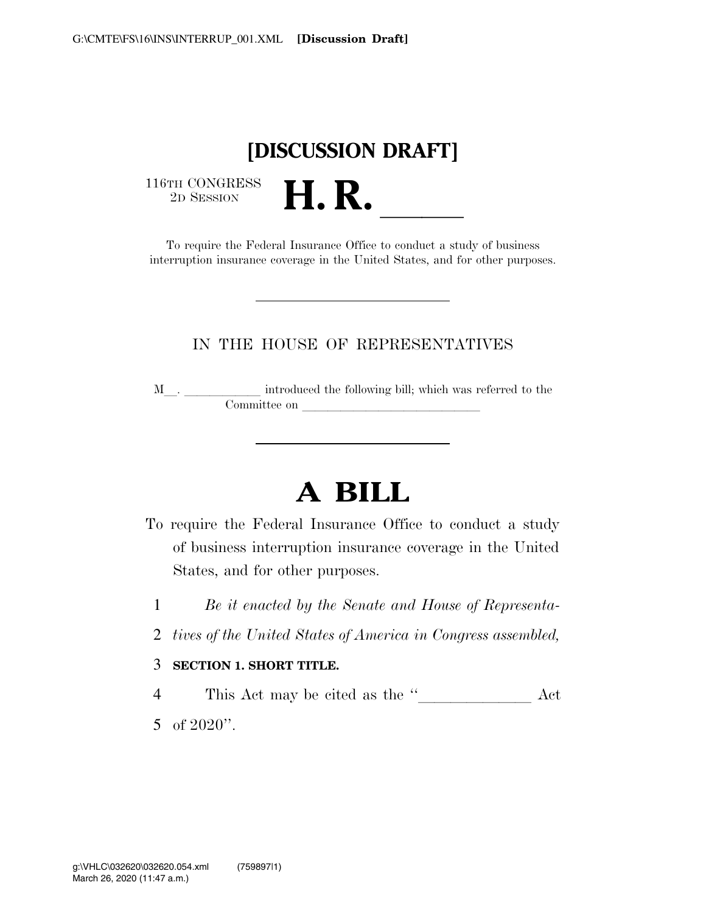## **[DISCUSSION DRAFT]**

 $\begin{array}{c} \textbf{116TH CONGRESS} \\ \textbf{2D SESION} \end{array}$ 

TH CONGRESS<br>
2D SESSION<br>
To require the Federal Insurance Office to conduct a study of business interruption insurance coverage in the United States, and for other purposes.

### IN THE HOUSE OF REPRESENTATIVES

<sup>M</sup>l. llllll introduced the following bill; which was referred to the  $\noindent \begin{tabular}{c} \multicolumn{1}{c}{} \multicolumn{1}{c}{} \multicolumn{1}{c}{} \multicolumn{1}{c}{} \multicolumn{1}{c}{} \multicolumn{1}{c}{} \multicolumn{1}{c}{} \multicolumn{1}{c}{} \multicolumn{1}{c}{} \multicolumn{1}{c}{} \multicolumn{1}{c}{} \multicolumn{1}{c}{} \multicolumn{1}{c}{} \multicolumn{1}{c}{} \multicolumn{1}{c}{} \multicolumn{1}{c}{} \multicolumn{1}{c}{} \multicolumn{1}{c}{} \multicolumn{1}{c}{} \multicolumn{1}{c}{} \multicolumn{1}{c}$ 

# **A BILL**

- To require the Federal Insurance Office to conduct a study of business interruption insurance coverage in the United States, and for other purposes.
	- 1 *Be it enacted by the Senate and House of Representa-*
	- 2 *tives of the United States of America in Congress assembled,*

#### 3 **SECTION 1. SHORT TITLE.**

<sup>4</sup> This Act may be cited as the ''lllllll Act 5 of 2020''.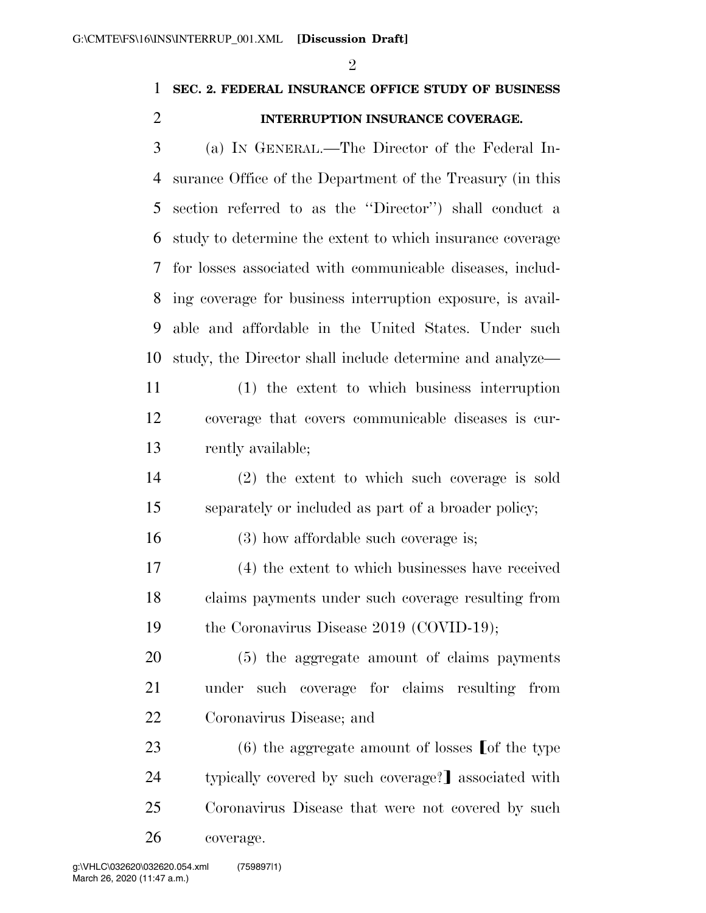$\mathfrak{D}$ 

### **SEC. 2. FEDERAL INSURANCE OFFICE STUDY OF BUSINESS INTERRUPTION INSURANCE COVERAGE.**

 (a) IN GENERAL.—The Director of the Federal In- surance Office of the Department of the Treasury (in this section referred to as the ''Director'') shall conduct a study to determine the extent to which insurance coverage for losses associated with communicable diseases, includ- ing coverage for business interruption exposure, is avail- able and affordable in the United States. Under such study, the Director shall include determine and analyze—

 (1) the extent to which business interruption coverage that covers communicable diseases is cur-rently available;

 (2) the extent to which such coverage is sold separately or included as part of a broader policy;

(3) how affordable such coverage is;

 (4) the extent to which businesses have received claims payments under such coverage resulting from the Coronavirus Disease 2019 (COVID-19);

 (5) the aggregate amount of claims payments under such coverage for claims resulting from Coronavirus Disease; and

23 (6) the aggregate amount of losses  $\lceil \text{of the type} \rceil$ 24 typically covered by such coverage? associated with Coronavirus Disease that were not covered by such coverage.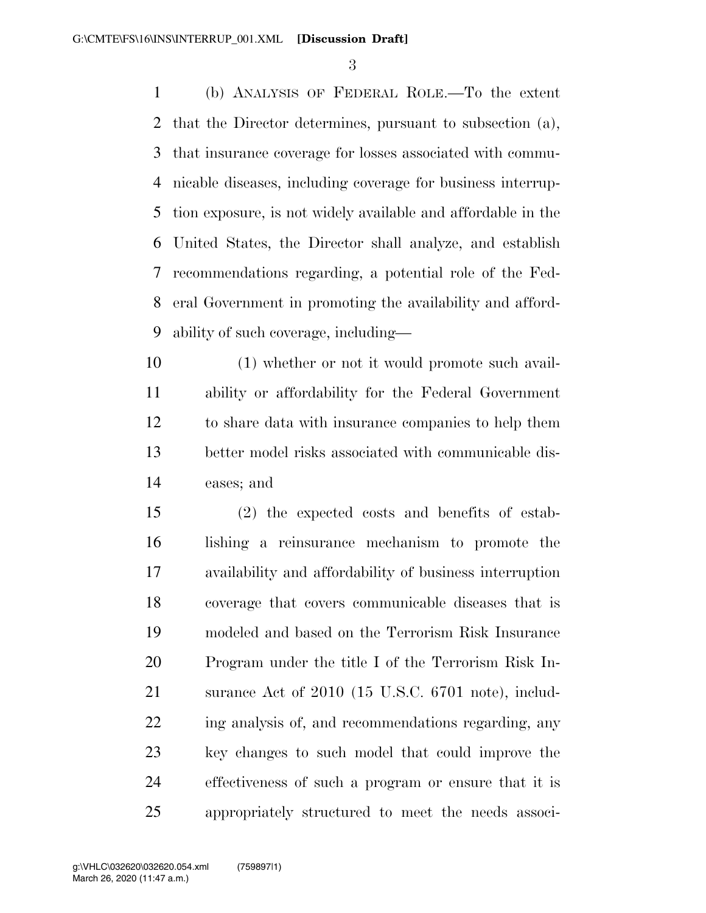(b) ANALYSIS OF FEDERAL ROLE.—To the extent that the Director determines, pursuant to subsection (a), that insurance coverage for losses associated with commu- nicable diseases, including coverage for business interrup- tion exposure, is not widely available and affordable in the United States, the Director shall analyze, and establish recommendations regarding, a potential role of the Fed- eral Government in promoting the availability and afford-ability of such coverage, including—

 (1) whether or not it would promote such avail- ability or affordability for the Federal Government to share data with insurance companies to help them better model risks associated with communicable dis-eases; and

 (2) the expected costs and benefits of estab- lishing a reinsurance mechanism to promote the availability and affordability of business interruption coverage that covers communicable diseases that is modeled and based on the Terrorism Risk Insurance Program under the title I of the Terrorism Risk In- surance Act of 2010 (15 U.S.C. 6701 note), includ- ing analysis of, and recommendations regarding, any key changes to such model that could improve the effectiveness of such a program or ensure that it is appropriately structured to meet the needs associ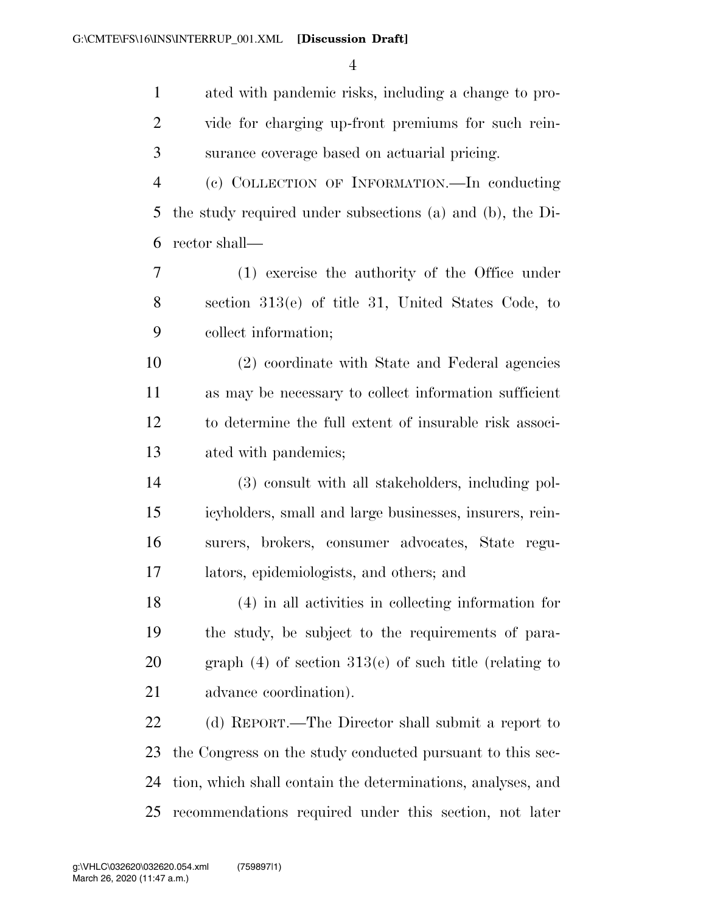| $\mathbf{1}$   | ated with pandemic risks, including a change to pro-        |
|----------------|-------------------------------------------------------------|
| $\overline{2}$ | vide for charging up-front premiums for such rein-          |
| 3              | surance coverage based on actuarial pricing.                |
| $\overline{4}$ | (c) COLLECTION OF INFORMATION.—In conducting                |
| 5              | the study required under subsections (a) and (b), the Di-   |
| 6              | rector shall—                                               |
| 7              | (1) exercise the authority of the Office under              |
| 8              | section $313(e)$ of title 31, United States Code, to        |
| 9              | collect information;                                        |
| 10             | (2) coordinate with State and Federal agencies              |
| 11             | as may be necessary to collect information sufficient       |
| 12             | to determine the full extent of insurable risk associ-      |
| 13             | ated with pandemics;                                        |
| 14             | (3) consult with all stakeholders, including pol-           |
| 15             | icyholders, small and large businesses, insurers, rein-     |
| 16             | surers, brokers, consumer advocates, State regu-            |
| 17             | lators, epidemiologists, and others; and                    |
| 18             | (4) in all activities in collecting information for         |
| 19             | the study, be subject to the requirements of para-          |
| 20             | graph $(4)$ of section 313(e) of such title (relating to    |
| 21             | advance coordination).                                      |
| 22             | (d) REPORT.—The Director shall submit a report to           |
| 23             | the Congress on the study conducted pursuant to this sec-   |
| 24             | tion, which shall contain the determinations, analyses, and |
| 25             | recommendations required under this section, not later      |